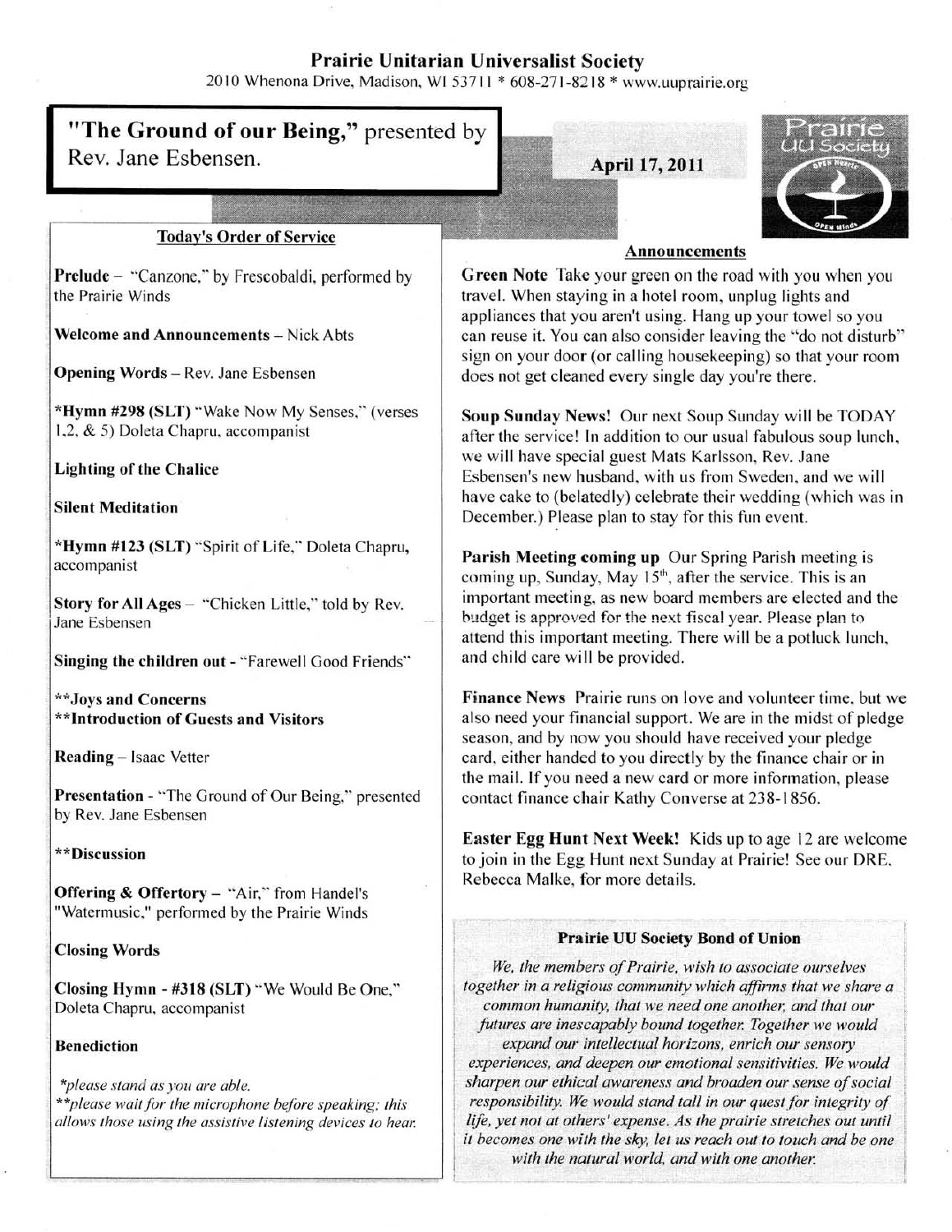# Prairie Unitarian Universalist Society

2010 Whenona Drive, Madison, WI 53711 \* 608-271-8218 \* www.uuprairie.org

#### "The Ground of our Being," presented by Rev. Jane Esbensen. **April 17, 2011** ~J."..--" Today's Order of Service Prelude – "Canzone," by Frescobaldi, performed by the Prairie Winds Welcome and Announcements - Nick Abts Opening Words ~ Rev. Janc Esbensen \*H}'mn #298 (SLT) "Wake Now My Senses:' (verses 1.2. & 5) Doleta Chapru. accompanist Lighting of the Chalice Silent Meditation \*Hymn #123 (SLT) '·Spirit of Life:' Doleta Chapru, accompanist Story for All Ages - "Chicken Little," told by Rev. Jane Esbensen Singing the children out - "Farewell Good Friends" \*\*Joys and Concerns \*\*Introduction of Guests and Visitors Reading ~ Isaac Vetter Presentation - "The Ground of Our Being," presented Announcements Green Note Take your green on the road with you when you travel. When staying in a hotel room, unplug lights and appliances that you aren't using. Hang up your towel so you can reuse it. You can also consider leaving the "do not disturb" sign on your door (or calling housekeeping) so that your room does not get cleaned every single day you're there. Soup Sunday News! Our next Soup Sunday will be TODAY after the service! In addition to our usual fabulous soup lunch, we will have special guest Mats Karlsson. Rev. Jane Esbensen's new husband, with us from Sweden, and we will have cake to (belatedly) celebrate their wedding (which was in December.) Please plan to stay for this fun event. Parish Meeting coming up Our Spring Parish meeting is coming up, Sunday, May 15<sup>th</sup>, after the service. This is an important meeting, as new board members are elected and the budget is approved for the next fiscal year. Please plan to attend this important meeting. There will be a potluck lunch, and child carc will be provided. Finance News Prairie runs on love and volunteer time, but we also need your financial support. We are in the midst of pledge season, and by now you should have received your pledge card, either handed to you directly by the finance chair or in the mail. If you need a new card or more information, please contact finance chair Kathy Converse at 238- 1856.

**Easter Egg Hunt Next Week!** Kids up to age 12 are welcome to join in the Egg Hunt next Sunday at Prairie! See our DRE, Re becca Malke, for more details.

#### Prairie UU Society Bond of Union

*We, 'he members of Prairie. wish to associate ourselves*  together in a religious community which affirms that we share a common humanity, that we need one another, and that our *jUtures are inescapably bound together. Togelher we would*  expand our intellectual horizons, enrich our sensory *experiences. and deepen Ollr emotional sensitivities. We would sharpen our ethical awareness and broaden our sense of social*  responsibility. We would stand tall in our quest for integrity of life, yet not at others' expense. As the prairie stretches out until *il becomes one wilh the sky, let us reach out to lauch and be one*  with the natural world, and with one another.

by Rev. Jane Esbensen

# \*\*Discussion

**Offering & Offertory**  $-$  "Air," from Handel's "Watermusic," performed by the Prairie Winds

# Closing Words

Closing Hymn - #318 (SLT) " We Would Be One," Dolcta Chapru. accompanist

# Benediction

*\*please stand as you are able. .... please wailfur* fhe *microphone beJbre speaking; this*  allows those using the assistive listening devices to hear.